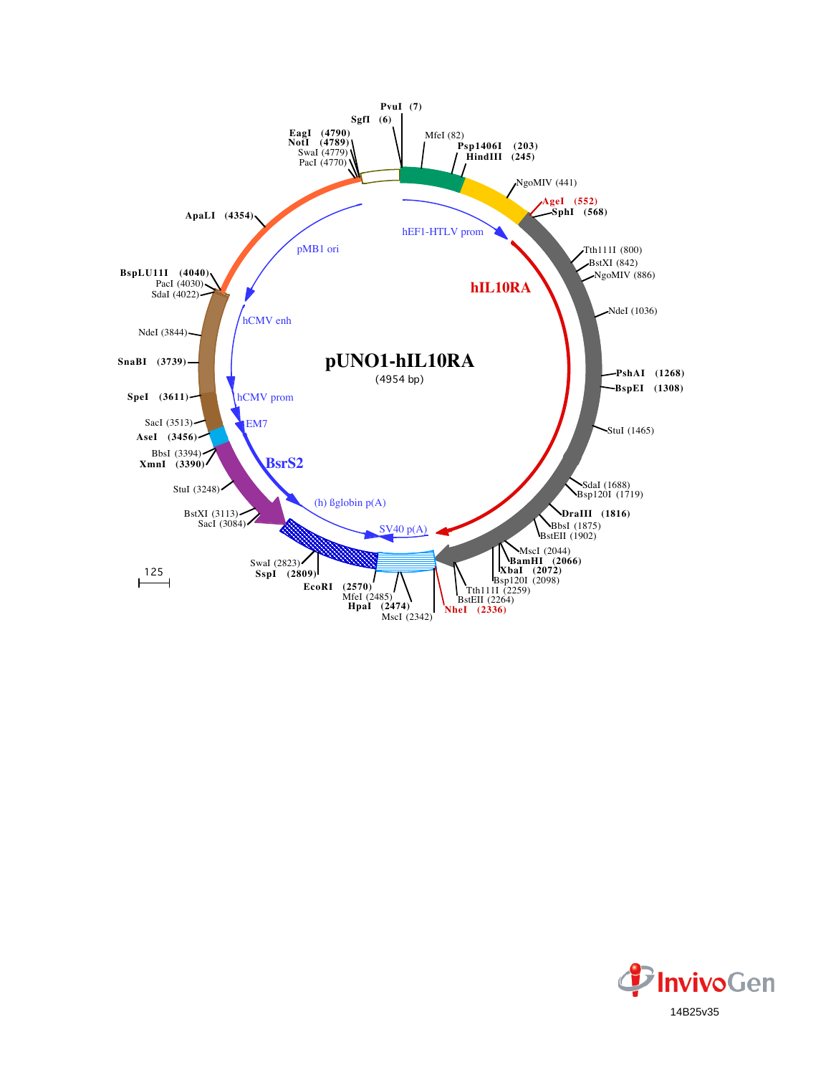

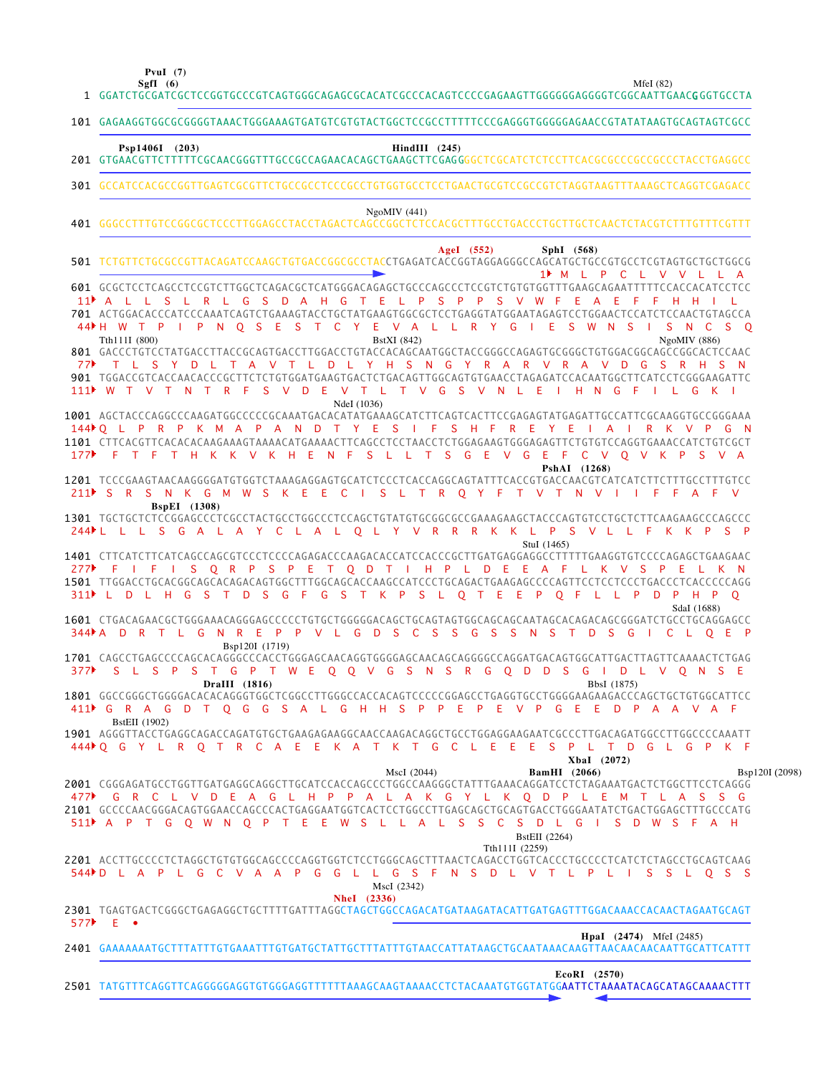**PvuI (7)**

1

**SgfI (6)** MfeI (82)

|                               | 101 GAGAAGGTGGCGCGGGGTAAACTGGGAAAGTGATGTCGTGTACTGGCTCCGCCTTTTTCCCGAGGGTGGGGGAACCGTATATAAGTGCAGTAGTCGCC                                                                                                                                                                                                                                                                                                                                     |                |
|-------------------------------|--------------------------------------------------------------------------------------------------------------------------------------------------------------------------------------------------------------------------------------------------------------------------------------------------------------------------------------------------------------------------------------------------------------------------------------------|----------------|
|                               | Psp1406I (203)<br>$HindIII$ (245)                                                                                                                                                                                                                                                                                                                                                                                                          |                |
|                               | 301 GCCATCCACGCCGGTTGAGTCGCGTTCTGCCGCCTCCCGCCTGTGGTGCCTCCTGAACTGCGTCCGCCGTCTAGGTAAGTTTAAAGCTCAGGTCGAGACC                                                                                                                                                                                                                                                                                                                                   |                |
|                               | NgoMIV(441)                                                                                                                                                                                                                                                                                                                                                                                                                                |                |
|                               | AgeI $(552)$<br>SphI (568)<br>501 TCTGTTCTGCGCCGTTACAGATCCAAGCTGTGACCGGCGCCTACCTGAGATCACCGGTAGGAGGGCCAGCATGCTGCCGTGCCTCGTAGTGCTGCTGCCGCG                                                                                                                                                                                                                                                                                                   |                |
|                               | 1 M L P C L V V L L A<br>601 GCGCTCCTCAGCCTCCGTCTTGGCTCAGACGCTCATGGGACAGAGCTGCCCAGCCCTCCGTCTGTGTGTTTGAAGCAGAATTTTTCCACCACATCCTCC<br>11 A L L S L R L G S D A H G T E L P S P P S V W F E A E<br>701 ACTGGACACCCATCCCAAATCAGTCTGAAAGTACCTGCTATGAAGTGGCGCTCCTGAGGTATGGAATAGAGTCCTGGAACTCCATCTCCAACTGTAGCCA<br>44▶ H W T P I P N O S E S T C Y E V A L L R Y G I E S W N S I S N C S O<br>Tth111I (800)<br><b>BstXI</b> (842)<br>NgoMIV (886) |                |
| 77▶                           | 801 GACCCTGTCCTATGACCTTACCGCAGTGACCTTGGACCTGTACCACAGCAATGGCTACCGGGCCAGAGTGCGGGCTGTGGACGGCAGCCGGCACTCCAAC<br>T L S Y D L T A V T L D L Y H S N G Y R A R V R A V D G S R H S N<br>901 TGGACCGTCACCAACACCCGCTTCTCTGTGGATGAAGTGACTCTGACAGTTGGCAGTGTGAACCTAGAGATCCACAATGGCTTCATCCTCGGGAAGATTC<br>111) W T V T N T R F S V D E V T L T V G S V N L E I H N G F I L G<br>NdeI (1036)                                                             |                |
|                               | 1001 AGCTACCCAGGCCCAAGATGGCCCCCGCAAATGACACATATGAAAGCATCTTCAGTCACTTCCGAGAGTATGAGATTGCCATTCGCAAGGTGCCGGGAAA<br>144▶O L P R P K M A P A N D T Y E S I F S H F R E Y E I A I<br>RKVPGN<br>1101 CTTCACGTTCACACACAAGAAAGTAAAACATGAAAACTTCAGCCTCCTAACCTCTGGAGAAGTGGGAGAGTTCTGTGTCCAGGTGAAACCATCTGTCGCT<br>177 F T F T H K K V K H E N F S L L T S G E V G E F C V O V K P<br>S V A<br>PshAI (1268)                                                |                |
|                               | 1201 TCCCGAAGTAACAAGGGGATGTGGTCTAAAGAGGAGTGCATCTCCCTCACCAGGCAGTATTTCACCGTGACCAACGTCATCATCTTTTGCCTTTGTCC<br>211 SR SN K G M W SK E E C I SL T R O Y F T V T N V I I F F A F V<br><b>BspEI</b> (1308)                                                                                                                                                                                                                                        |                |
|                               | 1301 TGCTGCTCTCCGGAGCCCTCGCCTACTGCCTGGCCCTCCAGCTGTATGTGCGGCGCCGAAAGAAGCTACCCAGTGTCCTGCTCTTCAAGAAGCCCAGCCC<br>244▶L L L S G A L A Y C L A L O L Y V R R K K L P S V L L F K K P S P<br>StuI (1465)                                                                                                                                                                                                                                          |                |
| 277 $\blacktriangleright$ F   | 1401 CTTCATCTTCATCAGCCAGCGTCCCTCCCCAGAGACCCAAGACACCATCCACCCGCTTGATGAGGAGGCCTTTTTGAAGGTGTCCCCAGAGCTGAAGAAC<br>I F I S Q R P S P E T Q D T I H P L D E E A F L K V S P E L K N<br>1501 TTGGACCTGCACGGCAGCACAGACAGTGGCTTTGGCAGCACCAAGCCATCCCTGCAGACTGAAGAGCCCCAGTTCCTCCTCCTGACCCTCACCCCCAGG<br>311▶ L D L H G S T D S G F G S T K P S L O T E E P O F L L P D P H P O                                                                         |                |
| $344$ $\blacktriangleright$ A | SdaI (1688)<br>R T L G N R E P P V L G D S C S S G S S N S T D S G I<br>D<br>C L O E P<br>Bsp120I (1719)                                                                                                                                                                                                                                                                                                                                   |                |
| 377▶                          | 1701 CAGCCTGAGCCCCAGCACAGGGCCCACCTGGGAGCAACAGGTGGGGAGCAACAGCAGGGGCCAGGATGACAGTGGCATTGACTTAGTTCAAAACTCTGAG<br>S L S P S T G P T W E O O V G S N S R G O D D S G I<br>D L V Q N S E<br>DraIII (1816)<br>BbsI (1875)                                                                                                                                                                                                                          |                |
|                               | 1801 GGCCGGGCTGGGGACACACAGGGTGGCTCGGCCTTGGGCCACCACAGTCCCCCGGAGCCTGAGGTGCCTGGGAAGAAGACCCAGCTGCTGTGGCATTCC<br>411▶ G R A G D T Q G G S A L G H H S P P E P E V P G E E D P A A V A F<br><b>BstEII</b> (1902)                                                                                                                                                                                                                                 |                |
|                               | 1901 AGGGTTACCTGAGGCAGACCAGATGTGCTGAAGAGGAAGGCAACCAAGACAGGCTGCCTGGAGGAAGAATCGCCCTTGACAGATGGCCTTGGCCCCAAATT<br>444▶O G Y L R O T R C A E E K A T K T G C L E E E S P L T D G L G P K F<br>XbaI (2072)                                                                                                                                                                                                                                       |                |
|                               | MscI (2044)<br><b>BamHI</b> (2066)<br>2001 CGGGAGATGCCTGGTTGATGAGGCAGGCTTGCATCCACCAGCCCTGGCCAAGGGCTATTTGAAACAGGATCCTCTAGAAATGACTCTGGCTTCCTCAGGG<br>477 CRCLVDEAGLHPPALAKGYLKQDPLEMTLASSG<br>2101 GCCCCAACGGGACAGTGGAACCAGCCCACTGAGGAATGGTCACTCCTGGCCTTGAGCAGCTGCAGTGACCTGGGAATATCTGACTGGAGCTTTGCCCATG<br>511 A P T G O W N O P T E E W S L L A L S S C S D L G I S D W S F A H<br>BstEII (2264)                                            | Bsp120I (2098) |
|                               | Tth111I (2259)<br>2201 ACCTTGCCCCTCTAGGCTGTGTGGCAGCCCCAGGTGGTCTCCTGGGCAGCTTTAACTCAGACCTGGTCACCCTGCCCCTCATCTCTAGCCTGCAGTCAAG<br>544PD LAPL GC V A A P G G L L G S F N S D L V T L P L I S S L O S S<br>MscI (2342)<br><b>NheI</b> (2336)                                                                                                                                                                                                    |                |
|                               | 2301 TGAGTGACTCGGGCTGAGAGGCTGCTTTTGATTTAGGCTAGCTGGCCAGACATGATAAGATACATTGATGAGTTTGGACAAACCACAACTAGAATGCAGT<br>577 E ●                                                                                                                                                                                                                                                                                                                       |                |
|                               | <b>HpaI</b> (2474) MfeI (2485)                                                                                                                                                                                                                                                                                                                                                                                                             |                |
|                               | EcoRI (2570)<br>2501 TATGTTTCAGGTTCAGGGGGAGGTGTGGGAGGTTTTTTTAAAGCAAGTAAAACCTCTACAAATGTGGTATGGAATTCTAAAATACAGCATAGCAAAACTTT                                                                                                                                                                                                                                                                                                                 |                |

GGATCTGCGATCGCTCCGGTGCCCGTCAGTGGGCAGAGCGCACATCGCCCACAGTCCCCGAGAAGTTGGGGGGAGGGGTCGGCAATTGAACG GGTGCCTA